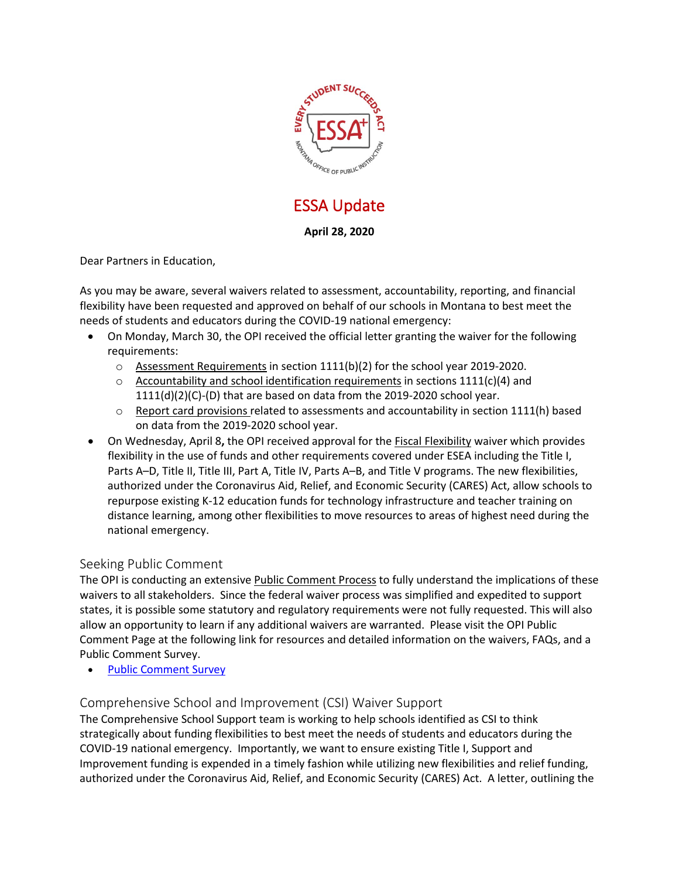

# ESSA Update

## **April 28, 2020**

Dear Partners in Education,

As you may be aware, several waivers related to assessment, accountability, reporting, and financial flexibility have been requested and approved on behalf of our schools in Montana to best meet the needs of students and educators during the COVID-19 national emergency:

- On Monday, March 30, the OPI received the official letter granting the waiver for the following requirements:
	- o Assessment Requirements in section 1111(b)(2) for the school year 2019-2020.
	- $\circ$  Accountability and school identification requirements in sections 1111(c)(4) and 1111(d)(2)(C)-(D) that are based on data from the 2019-2020 school year.
	- $\circ$  Report card provisions related to assessments and accountability in section 1111(h) based on data from the 2019-2020 school year.
- On Wednesday, April 8**,** the OPI received approval for the Fiscal Flexibility waiver which provides flexibility in the use of funds and other requirements covered under ESEA including the Title I, Parts A–D, Title II, Title III, Part A, Title IV, Parts A–B, and Title V programs. The new flexibilities, authorized under the Coronavirus Aid, Relief, and Economic Security (CARES) Act, allow schools to repurpose existing K-12 education funds for technology infrastructure and teacher training on distance learning, among other flexibilities to move resources to areas of highest need during the national emergency.

## Seeking Public Comment

The OPI is conducting an extensive Public Comment Process to fully understand the implications of these waivers to all stakeholders. Since the federal waiver process was simplified and expedited to support states, it is possible some statutory and regulatory requirements were not fully requested. This will also allow an opportunity to learn if any additional waivers are warranted. Please visit the OPI Public Comment Page at the following link for resources and detailed information on the waivers, FAQs, and a Public Comment Survey.

• Public [Comment](https://sites.google.com/a/opiconnect.org/2020-montana-waivers/) Survey

### Comprehensive School and Improvement (CSI) Waiver Support

The Comprehensive School Support team is working to help schools identified as CSI to think strategically about funding flexibilities to best meet the needs of students and educators during the COVID-19 national emergency. Importantly, we want to ensure existing Title I, Support and Improvement funding is expended in a timely fashion while utilizing new flexibilities and relief funding, authorized under the Coronavirus Aid, Relief, and Economic Security (CARES) Act. A letter, outlining the